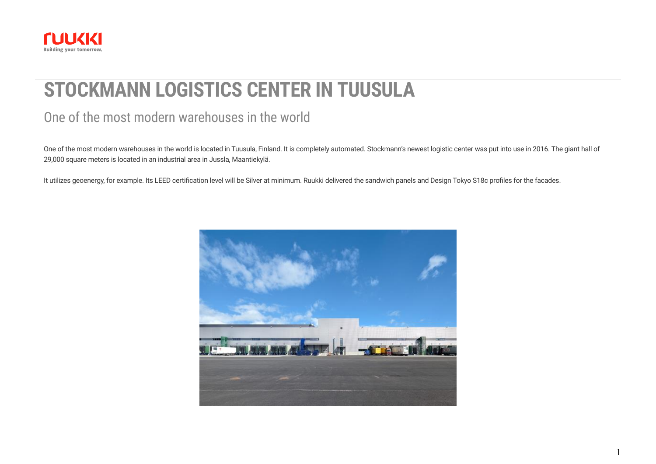<span id="page-0-0"></span>

# **STOCKMANN LOGISTICS CENTER IN TUUSULA**

## One of the most modern warehouses in the world

One of the most modern warehouses in the world is located in Tuusula, Finland. It is completely automated. Stockmann's newest logistic center was put into use in 2016. The giant hall of 29,000 square meters is located in an industrial area in Jussla, Maantiekylä.

It utilizes geoenergy, for example. Its LEED certification level will be Silver at minimum. Ruukki delivered the sandwich panels and Design Tokyo S18c profiles for the facades.

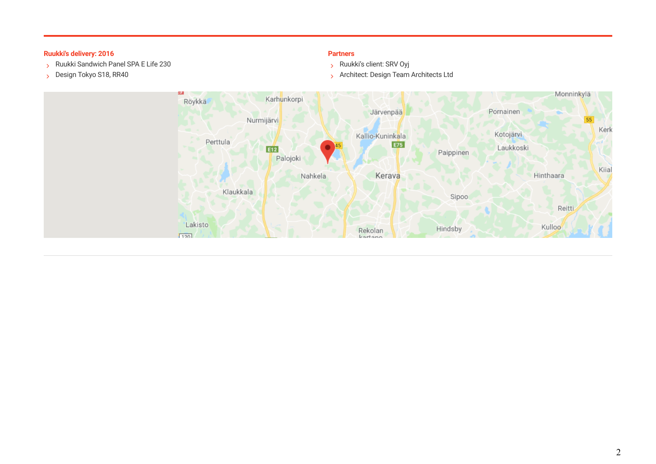#### **Ruukki's delivery: 2016 Partners**

- Ruukki Sandwich Panel SPA E Life 230
- Design Tokyo S18, RR40

- Ruukki's client: SRV Oyj
- **Architect: Design Team Architects Ltd**

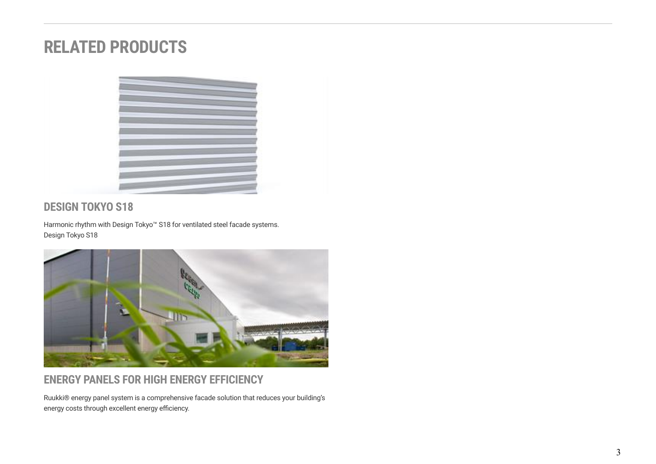# **RELATED PRODUCTS**



#### **DESIGN TOKYO S18**

Harmonic rhythm with Design Tokyo™ S18 for ventilated steel facade systems. [Design Tokyo S18](https://www.ruukki.com/b2b/products/facade-claddings/design-profiles/facade-claddings-details---design-profiles/design-tokyo-s18)



## **ENERGY PANELS FOR HIGH ENERGY EFFICIENCY**

Ruukki® energy panel system is a comprehensive facade solution that reduces your building's energy costs through excellent energy efficiency.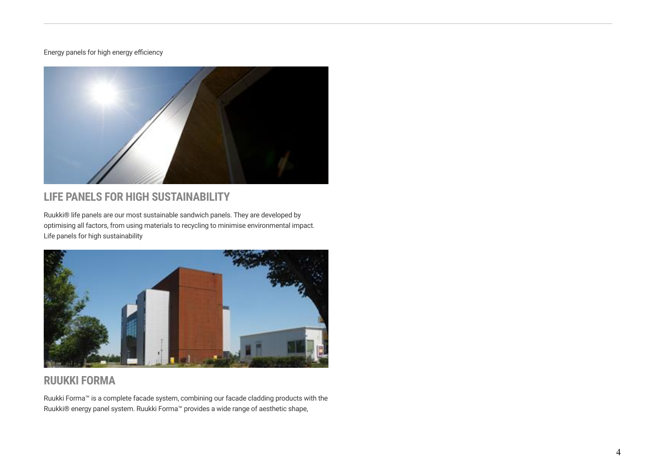#### [Energy panels for high energy efficiency](https://www.ruukki.com/b2b/products/sandwich-panels/energy-sandwich-panels)



### **LIFE PANELS FOR HIGH SUSTAINABILITY**

Ruukki® life panels are our most sustainable sandwich panels. They are developed by optimising all factors, from using materials to recycling to minimise environmental impact. [Life panels for high sustainability](https://www.ruukki.com/b2b/products/sandwich-panels/life-sandwich-panels)



#### **RUUKKI FORMA**

Ruukki Forma™ is a complete facade system, combining our facade cladding products with the Ruukki® energy panel system. Ruukki Forma™ provides a wide range of aesthetic shape,